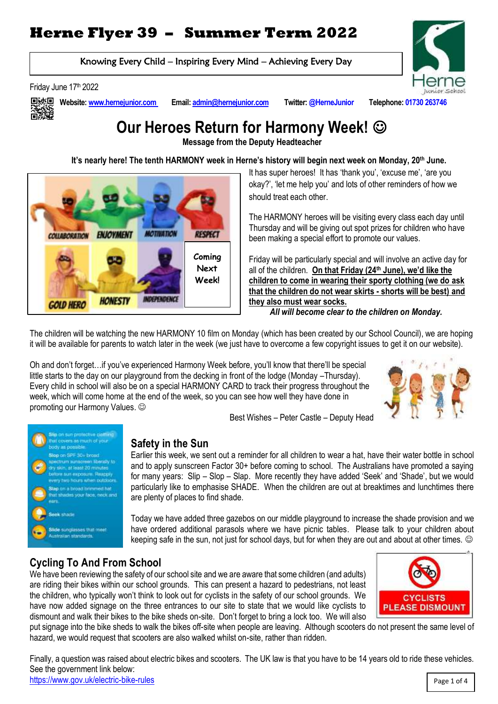# **Herne Flyer 39 – Summer Term 2022**

Knowing Every Child – Inspiring Every Mind – Achieving Every Day

Friday June 17th 2022



**Website[: www.hernejunior.com](http://www.hernejunior.com/) Email[: admin@hernejunior.com](mailto:admin@hernejunior.com) Twitter: @HerneJunior Telephone: 01730 263746**



# **Our Heroes Return for Harmony Week!**

**Message from the Deputy Headteacher**

 **It's nearly here! The tenth HARMONY week in Herne's history will begin next week on Monday, 20th June.** 



It has super heroes! It has 'thank you', 'excuse me', 'are you okay?', 'let me help you' and lots of other reminders of how we should treat each other.

The HARMONY heroes will be visiting every class each day until Thursday and will be giving out spot prizes for children who have been making a special effort to promote our values.

Friday will be particularly special and will involve an active day for all of the children. **On that Friday (24th June), we'd like the children to come in wearing their sporty clothing (we do ask that the children do not wear skirts - shorts will be best) and they also must wear socks.** 

 *All will become clear to the children on Monday.*

The children will be watching the new HARMONY 10 film on Monday (which has been created by our School Council), we are hoping it will be available for parents to watch later in the week (we just have to overcome a few copyright issues to get it on our website).

Oh and don't forget…if you've experienced Harmony Week before, you'll know that there'll be special little starts to the day on our playground from the decking in front of the lodge (Monday –Thursday). Every child in school will also be on a special HARMONY CARD to track their progress throughout the week, which will come home at the end of the week, so you can see how well they have done in promoting our Harmony Values.





## **Safety in the Sun**

Earlier this week, we sent out a reminder for all children to wear a hat, have their water bottle in school and to apply sunscreen Factor 30+ before coming to school. The Australians have promoted a saying for many years: Slip – Slop – Slap. More recently they have added 'Seek' and 'Shade', but we would particularly like to emphasise SHADE. When the children are out at breaktimes and lunchtimes there are plenty of places to find shade.

Best Wishes – Peter Castle – Deputy Head

Today we have added three gazebos on our middle playground to increase the shade provision and we have ordered additional parasols where we have picnic tables. Please talk to your children about keeping safe in the sun, not just for school days, but for when they are out and about at other times.  $\odot$ 

# **Cycling To And From School**

We have been reviewing the safety of our school site and we are aware that some children (and adults) are riding their bikes within our school grounds. This can present a hazard to pedestrians, not least the children, who typically won't think to look out for cyclists in the safety of our school grounds. We have now added signage on the three entrances to our site to state that we would like cyclists to dismount and walk their bikes to the bike sheds on-site. Don't forget to bring a lock too. We will also



put signage into the bike sheds to walk the bikes off-site when people are leaving. Although scooters do not present the same level of hazard, we would request that scooters are also walked whilst on-site, rather than ridden.

Finally, a question was raised about electric bikes and scooters. The UK law is that you have to be 14 years old to ride these vehicles. See the government link below:

<https://www.gov.uk/electric-bike-rules>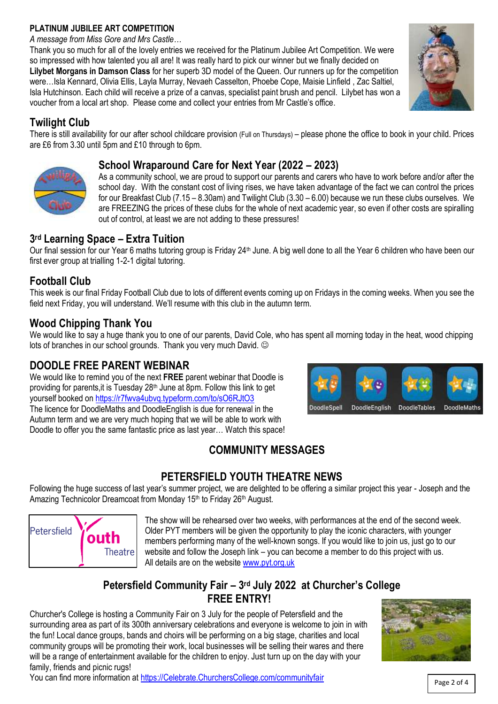#### **PLATINUM JUBILEE ART COMPETITION**

*A message from Miss Gore and Mrs Castle…*

Thank you so much for all of the lovely entries we received for the Platinum Jubilee Art Competition. We were so impressed with how talented you all are! It was really hard to pick our winner but we finally decided on **Lilybet Morgans in Damson Class** for her superb 3D model of the Queen. Our runners up for the competition were…Isla Kennard, Olivia Ellis, Layla Murray, Nevaeh Casselton, Phoebe Cope, Maisie Linfield , Zac Saltiel, Isla Hutchinson. Each child will receive a prize of a canvas, specialist paint brush and pencil. Lilybet has won a voucher from a local art shop. Please come and collect your entries from Mr Castle's office.

## **Twilight Club**

There is still availability for our after school childcare provision (Full on Thursdays) – please phone the office to book in your child. Prices are £6 from 3.30 until 5pm and £10 through to 6pm.

## **School Wraparound Care for Next Year (2022 – 2023)**

As a community school, we are proud to support our parents and carers who have to work before and/or after the school day. With the constant cost of living rises, we have taken advantage of the fact we can control the prices for our Breakfast Club (7.15 – 8.30am) and Twilight Club (3.30 – 6.00) because we run these clubs ourselves. We are FREEZING the prices of these clubs for the whole of next academic year, so even if other costs are spiralling out of control, at least we are not adding to these pressures!

## **3 rd Learning Space – Extra Tuition**

Our final session for our Year 6 maths tutoring group is Friday 24<sup>th</sup> June. A big well done to all the Year 6 children who have been our first ever group at trialling 1-2-1 digital tutoring.

# **Football Club**

This week is our final Friday Football Club due to lots of different events coming up on Fridays in the coming weeks. When you see the field next Friday, you will understand. We'll resume with this club in the autumn term.

## **Wood Chipping Thank You**

We would like to say a huge thank you to one of our parents. David Cole, who has spent all morning today in the heat, wood chipping lots of branches in our school grounds. Thank you very much David.

## **DOODLE FREE PARENT WEBINAR**

We would like to remind you of the next **FREE** parent webinar that Doodle is providing for parents, it is Tuesday 28<sup>th</sup> June at 8pm. Follow this link to get yourself booked on<https://r7fwva4ubvq.typeform.com/to/sO6RJtO3> The licence for DoodleMaths and DoodleEnglish is due for renewal in the Autumn term and we are very much hoping that we will be able to work with Doodle to offer you the same fantastic price as last year… Watch this space!



# **COMMUNITY MESSAGES**

# **PETERSFIELD YOUTH THEATRE NEWS**

Following the huge success of last year's summer project, we are delighted to be offering a similar project this year - Joseph and the Amazing Technicolor Dreamcoat from Monday 15<sup>th</sup> to Friday 26<sup>th</sup> August.



The show will be rehearsed over two weeks, with performances at the end of the second week. Older PYT members will be given the opportunity to play the iconic characters, with younger members performing many of the well-known songs. If you would like to join us, just go to our website and follow the Joseph link – you can become a member to do this project with us. All details are on the website [www.pyt.org.uk](http://www.pyt.org.uk/)

## **Petersfield Community Fair – 3 rd July 2022 at Churcher's College FREE ENTRY!**

Churcher's College is hosting a Community Fair on 3 July for the people of Petersfield and the surrounding area as part of its 300th anniversary celebrations and everyone is welcome to join in with the fun! Local dance groups, bands and choirs will be performing on a big stage, charities and local community groups will be promoting their work, local businesses will be selling their wares and there will be a range of entertainment available for the children to enjoy. Just turn up on the day with your family, friends and picnic rugs!

You can find more information at [https://Celebrate.ChurchersCollege.com/communityfair](https://celebrate.churcherscollege.com/communityfair) Page 2 of 4



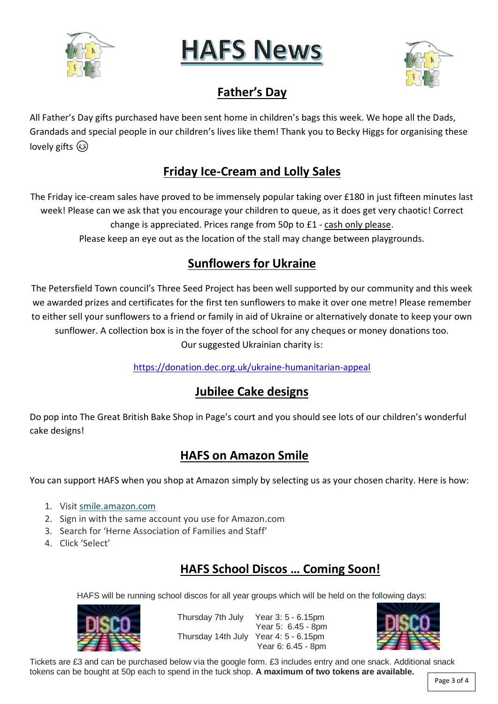





# **Father's Day**

All Father's Day gifts purchased have been sent home in children's bags this week. We hope all the Dads, Grandads and special people in our children's lives like them! Thank you to Becky Higgs for organising these lovely gifts  $\circled{e}$ 

# **Friday Ice-Cream and Lolly Sales**

The Friday ice-cream sales have proved to be immensely popular taking over £180 in just fifteen minutes last week! Please can we ask that you encourage your children to queue, as it does get very chaotic! Correct change is appreciated. Prices range from 50p to £1 - cash only please. Please keep an eye out as the location of the stall may change between playgrounds.

# **Sunflowers for Ukraine**

The Petersfield Town council's Three Seed Project has been well supported by our community and this week we awarded prizes and certificates for the first ten sunflowers to make it over one metre! Please remember to either sell your sunflowers to a friend or family in aid of Ukraine or alternatively donate to keep your own sunflower. A collection box is in the foyer of the school for any cheques or money donations too. Our suggested Ukrainian charity is:

<https://donation.dec.org.uk/ukraine-humanitarian-appeal>

# **Jubilee Cake designs**

Do pop into The Great British Bake Shop in Page's court and you should see lots of our children's wonderful cake designs!

# **HAFS on Amazon Smile**

You can support HAFS when you shop at Amazon simply by selecting us as your chosen charity. Here is how:

- 1. Visit [smile.amazon.com](https://smile.amazon.com/gp/chpf/dashboard/ref=smi_www_dayone_us_smilehowto_1)
- 2. Sign in with the same account you use for Amazon.com
- 3. Search for 'Herne Association of Families and Staff'
- 4. Click 'Select'

# **HAFS School Discos … Coming Soon!**

HAFS will be running school discos for all year groups which will be held on the following days:



Thursday 7th July Year 3: 5 - 6.15pm Year 5: 6.45 - 8pm Thursday 14th July Year 4: 5 - 6.15pm Year 6: 6.45 - 8pm



Tickets are £3 and can be purchased below via the google form. £3 includes entry and one snack. Additional snack tokens can be bought at 50p each to spend in the tuck shop. **A maximum of two tokens are available.**